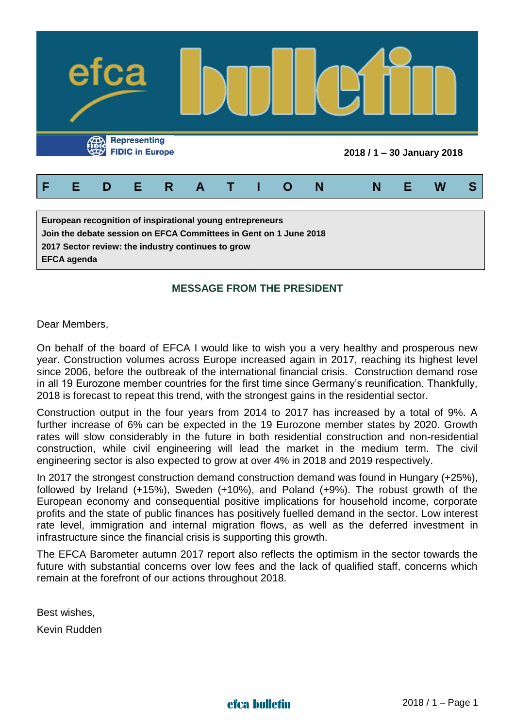

**2017 Sector review: the industry continues to grow**

**EFCA agenda** 

## **MESSAGE FROM THE PRESIDENT**

Dear Members,

On behalf of the board of EFCA I would like to wish you a very healthy and prosperous new year. Construction volumes across Europe increased again in 2017, reaching its highest level since 2006, before the outbreak of the international financial crisis. Construction demand rose in all 19 Eurozone member countries for the first time since Germany's reunification. Thankfully, 2018 is forecast to repeat this trend, with the strongest gains in the residential sector.

Construction output in the four years from 2014 to 2017 has increased by a total of 9%. A further increase of 6% can be expected in the 19 Eurozone member states by 2020. Growth rates will slow considerably in the future in both residential construction and non-residential construction, while civil engineering will lead the market in the medium term. The civil engineering sector is also expected to grow at over 4% in 2018 and 2019 respectively.

In 2017 the strongest construction demand construction demand was found in Hungary (+25%), followed by Ireland (+15%), Sweden (+10%), and Poland (+9%). The robust growth of the European economy and consequential positive implications for household income, corporate profits and the state of public finances has positively fuelled demand in the sector. Low interest rate level, immigration and internal migration flows, as well as the deferred investment in infrastructure since the financial crisis is supporting this growth.

The EFCA Barometer autumn 2017 report also reflects the optimism in the sector towards the future with substantial concerns over low fees and the lack of qualified staff, concerns which remain at the forefront of our actions throughout 2018.

Best wishes,

Kevin Rudden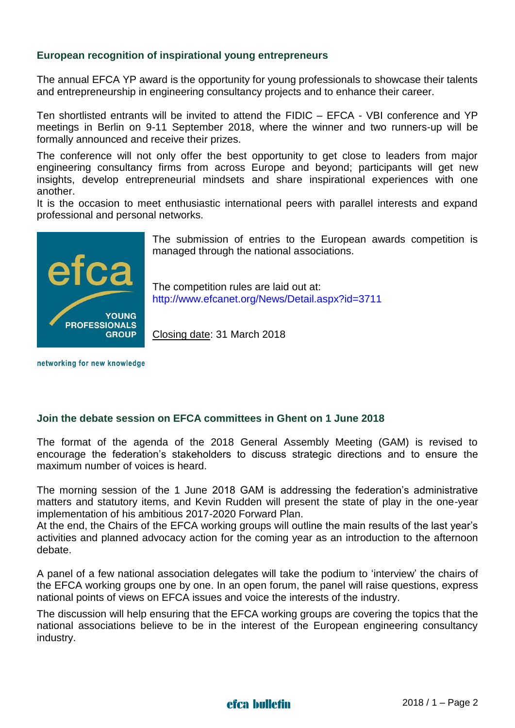### **European recognition of inspirational young entrepreneurs**

The annual EFCA YP award is the opportunity for young professionals to showcase their talents and entrepreneurship in engineering consultancy projects and to enhance their career.

Ten shortlisted entrants will be invited to attend the FIDIC – EFCA - VBI conference and YP meetings in Berlin on 9-11 September 2018, where the winner and two runners-up will be formally announced and receive their prizes.

The conference will not only offer the best opportunity to get close to leaders from major engineering consultancy firms from across Europe and beyond; participants will get new insights, develop entrepreneurial mindsets and share inspirational experiences with one another.

It is the occasion to meet enthusiastic international peers with parallel interests and expand professional and personal networks.



The submission of entries to the European awards competition is managed through the national associations.

The competition rules are laid out at: <http://www.efcanet.org/News/Detail.aspx?id=3711>

Closing date: 31 March 2018

networking for new knowledge

#### **Join the debate session on EFCA committees in Ghent on 1 June 2018**

The format of the agenda of the 2018 General Assembly Meeting (GAM) is revised to encourage the federation's stakeholders to discuss strategic directions and to ensure the maximum number of voices is heard.

The morning session of the 1 June 2018 GAM is addressing the federation's administrative matters and statutory items, and Kevin Rudden will present the state of play in the one-year implementation of his ambitious 2017-2020 Forward Plan.

At the end, the Chairs of the EFCA working groups will outline the main results of the last year's activities and planned advocacy action for the coming year as an introduction to the afternoon debate.

A panel of a few national association delegates will take the podium to 'interview' the chairs of the EFCA working groups one by one. In an open forum, the panel will raise questions, express national points of views on EFCA issues and voice the interests of the industry.

The discussion will help ensuring that the EFCA working groups are covering the topics that the national associations believe to be in the interest of the European engineering consultancy industry.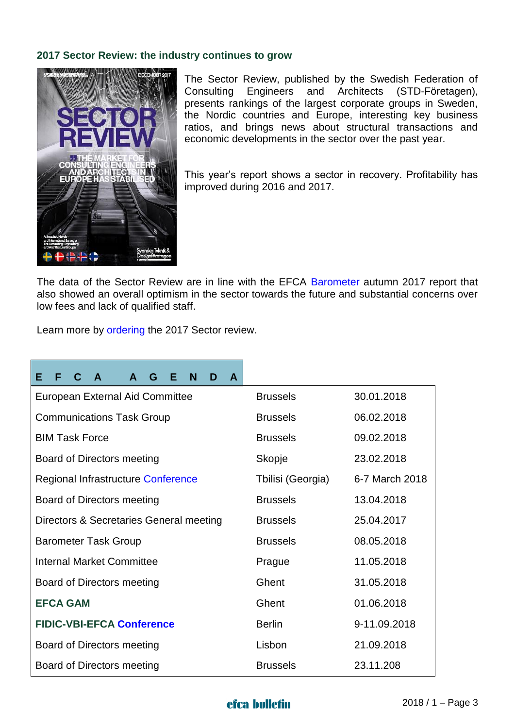### **2017 Sector Review: the industry continues to grow**



The Sector Review, published by the Swedish Federation of Consulting Engineers and Architects (STD-Företagen), presents rankings of the largest corporate groups in Sweden, the Nordic countries and Europe, interesting key business ratios, and brings news about structural transactions and economic developments in the sector over the past year.

This year's report shows a sector in recovery. Profitability has improved during 2016 and 2017.

The data of the Sector Review are in line with the EFCA [Barometer](http://www.efcanet.org/Portals/EFCA/EFCA%20files/PDF/Barometer%20reports/Report%20EFCA%20Barometer_Autumn%202017.pdf) autumn 2017 report that also showed an overall optimism in the sector towards the future and substantial concerns over low fees and lack of qualified staff.

Learn more by [ordering](https://www.std.se/in-english/sector-review) the 2017 Sector review.

| C.<br>Е<br>F<br>G<br>N<br>F.<br>A<br>A<br>D<br>A |                   |                |
|--------------------------------------------------|-------------------|----------------|
| <b>European External Aid Committee</b>           | <b>Brussels</b>   | 30.01.2018     |
| <b>Communications Task Group</b>                 | <b>Brussels</b>   | 06.02.2018     |
| <b>BIM Task Force</b>                            | <b>Brussels</b>   | 09.02.2018     |
| Board of Directors meeting                       | Skopje            | 23.02.2018     |
| Regional Infrastructure Conference               | Tbilisi (Georgia) | 6-7 March 2018 |
| Board of Directors meeting                       | <b>Brussels</b>   | 13.04.2018     |
| Directors & Secretaries General meeting          | <b>Brussels</b>   | 25.04.2017     |
| <b>Barometer Task Group</b>                      | <b>Brussels</b>   | 08.05.2018     |
| <b>Internal Market Committee</b>                 | Prague            | 11.05.2018     |
| Board of Directors meeting                       | Ghent             | 31.05.2018     |
| <b>EFCA GAM</b>                                  | Ghent             | 01.06.2018     |
| <b>FIDIC-VBI-EFCA Conference</b>                 | <b>Berlin</b>     | 9-11.09.2018   |
| Board of Directors meeting                       | Lisbon            | 21.09.2018     |
| Board of Directors meeting                       | <b>Brussels</b>   | 23.11.208      |

## efca bulletin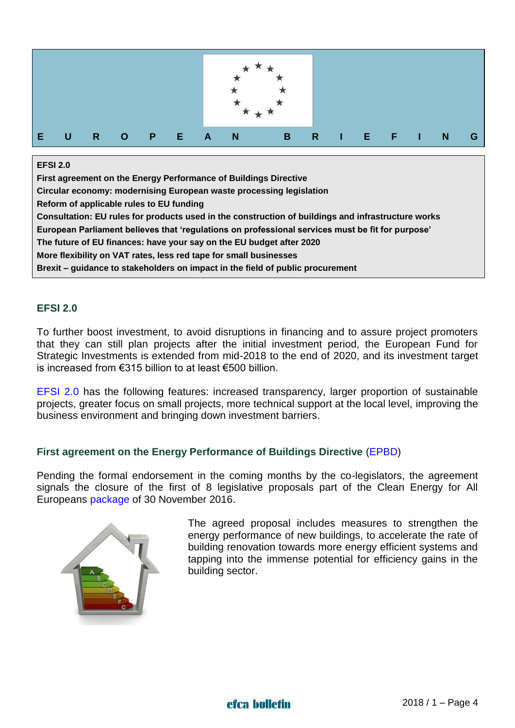

#### **EFSI 2.0**

**First agreement on the Energy Performance of Buildings Directive Circular economy: modernising European waste processing legislation Reform of applicable rules to EU funding Consultation: EU rules for products used in the construction of buildings and infrastructure works European Parliament believes that 'regulations on professional services must be fit for purpose' The future of EU finances: have your say on the EU budget after 2020 More flexibility on VAT rates, less red tape for small businesses Brexit – guidance to stakeholders on impact in the field of public procurement**

### **EFSI 2.0**

To further boost investment, to avoid disruptions in financing and to assure project promoters that they can still plan projects after the initial investment period, the European Fund for Strategic Investments is extended from mid-2018 to the end of 2020, and its investment target is increased from €315 billion to at least €500 billion.

[EFSI 2.0](https://ec.europa.eu/commission/priorities/jobs-growth-and-investment/investment-plan-europe-juncker-plan/european-fund-strategic-investments-efsi_en#efsi20) has the following features: increased transparency, larger proportion of sustainable projects, greater focus on small projects, more technical support at the local level, improving the business environment and bringing down investment barriers.

### **First agreement on the Energy Performance of Buildings Directive** [\(EPBD\)](https://ec.europa.eu/energy/en/topics/energy-efficiency/buildings)

Pending the formal endorsement in the coming months by the co-legislators, the agreement signals the closure of the first of 8 legislative proposals part of the Clean Energy for All Europeans [package](https://ec.europa.eu/energy/en/news/commission-proposes-new-rules-consumer-centred-clean-energy-transition) of 30 November 2016.



The agreed proposal includes measures to strengthen the energy performance of new buildings, to accelerate the rate of building renovation towards more energy efficient systems and tapping into the immense potential for efficiency gains in the building sector.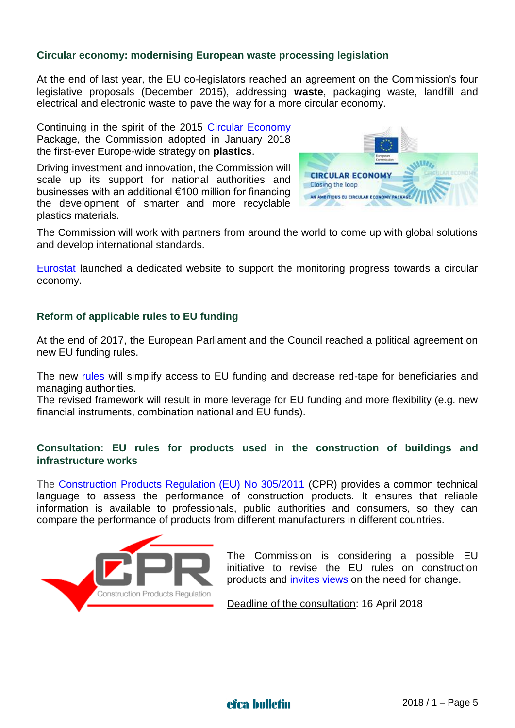### **Circular economy: modernising European waste processing legislation**

At the end of last year, the EU co-legislators reached an agreement on the Commission's four legislative proposals (December 2015), addressing **waste**, packaging waste, landfill and electrical and electronic waste to pave the way for a more circular economy.

Continuing in the spirit of the 2015 [Circular Economy](http://ec.europa.eu/environment/circular-economy/index_en.htm) Package, the Commission adopted in January 2018 the first-ever Europe-wide strategy on **plastics**.

Driving investment and innovation, the Commission will scale up its support for national authorities and businesses with an additional €100 million for financing the development of smarter and more recyclable plastics materials.



The Commission will work with partners from around the world to come up with global solutions and develop international standards.

[Eurostat](http://ec.europa.eu/eurostat/web/circular-economy) launched a dedicated website to support the monitoring progress towards a circular economy.

### **Reform of applicable rules to EU funding**

At the end of 2017, the European Parliament and the Council reached a political agreement on new EU funding rules.

The new [rules](https://ec.europa.eu/info/news/modernisation-rules-execution-eu-budget_en) will simplify access to EU funding and decrease red-tape for beneficiaries and managing authorities.

The revised framework will result in more leverage for EU funding and more flexibility (e.g. new financial instruments, combination national and EU funds).

### **Consultation: EU rules for products used in the construction of buildings and infrastructure works**

The [Construction Products Regulation \(EU\) No 305/2011](http://eur-lex.europa.eu/legal-content/EN/TXT/?uri=CELEX:32011R0305&locale=en) (CPR) provides a common technical language to assess the performance of construction products. It ensures that reliable information is available to professionals, public authorities and consumers, so they can compare the performance of products from different manufacturers in different countries.



The Commission is considering a possible EU initiative to revise the EU rules on construction products and [invites](https://ec.europa.eu/info/consultations/public-consultation-eu-rules-products-used-construction-buildings-and-infrastructure-works_en) views on the need for change.

Deadline of the consultation: 16 April 2018